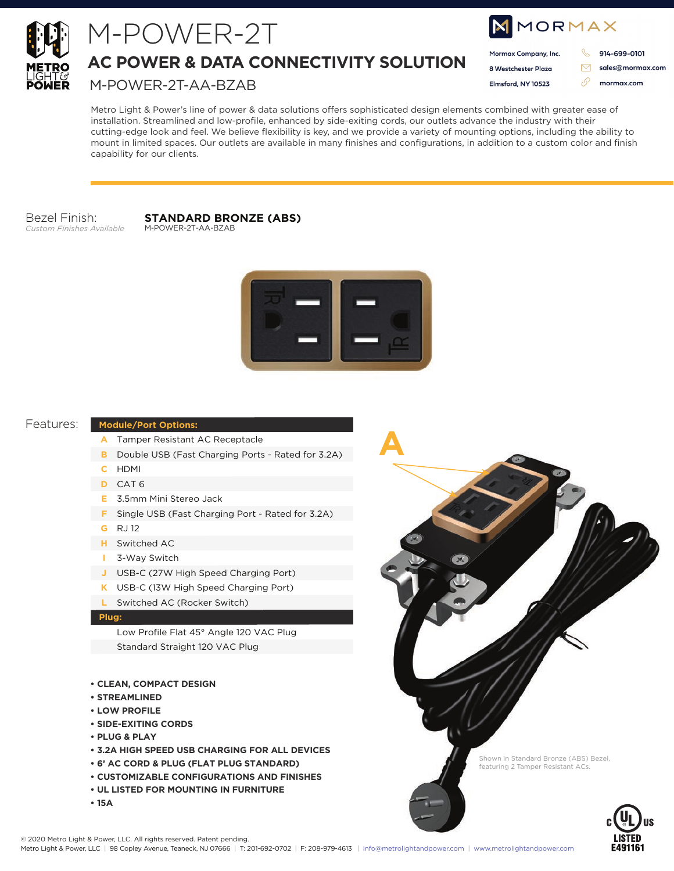

## M-POWER-2T

**AC POWER & DATA CONNECTIVITY SOLUTION**

M-POWER-2T-AA-BZAB

| MMORMAX |                      |  |                  |
|---------|----------------------|--|------------------|
|         | Mormax Company, Inc. |  | 914-699-0101     |
|         | 8 Westchester Plaza  |  | sales@mormax.com |
|         | Elmsford, NY 10523   |  | mormax.com       |
|         |                      |  |                  |

Metro Light & Power's line of power & data solutions offers sophisticated design elements combined with greater ease of installation. Streamlined and low-profile, enhanced by side-exiting cords, our outlets advance the industry with their cutting-edge look and feel. We believe flexibility is key, and we provide a variety of mounting options, including the ability to mount in limited spaces. Our outlets are available in many finishes and configurations, in addition to a custom color and finish capability for our clients.

#### Bezel Finish: *Custom Finishes Available*

#### **STANDARD BRONZE (ABS)** M-POWER-2T-AA-BZAB



**A**

#### Features:

#### **Module/Port Options:**

- A Tamper Resistant AC Receptacle
- **B** Double USB (Fast Charging Ports Rated for 3.2A)
- HDMI **C**
- CAT 6 **D**
- 3.5mm Mini Stereo Jack **E**
- **F** Single USB (Fast Charging Port Rated for 3.2A)
- RJ 12 **G**
- Switched AC **H**
- 3-Way Switch **I**
- USB-C (27W High Speed Charging Port) **J**
- USB-C (13W High Speed Charging Port) **K**
- **L** Switched AC (Rocker Switch)

#### **Plug:**

Low Profile Flat 45° Angle 120 VAC Plug Standard Straight 120 VAC Plug

#### **• CLEAN, COMPACT DESIGN**

- **STREAMLINED**
- **LOW PROFILE**
- **SIDE-EXITING CORDS**
- **PLUG & PLAY**
- **3.2A HIGH SPEED USB CHARGING FOR ALL DEVICES**
- **6' AC CORD & PLUG (FLAT PLUG STANDARD)**
- **CUSTOMIZABLE CONFIGURATIONS AND FINISHES**
- **UL LISTED FOR MOUNTING IN FURNITURE**
- **15A**